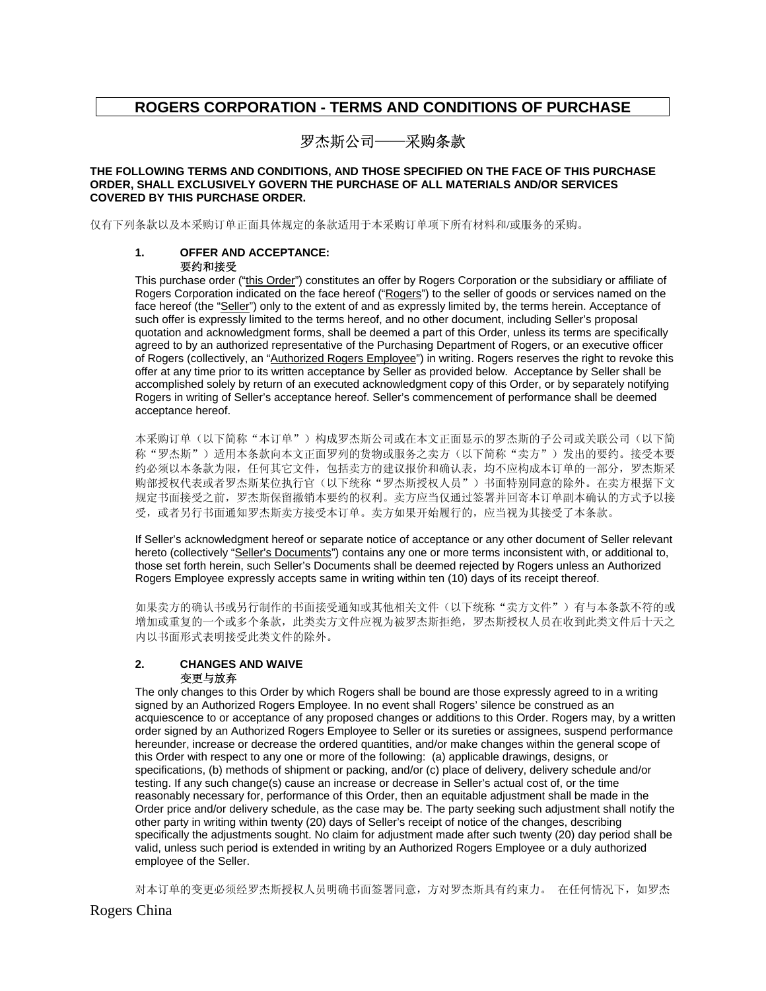## **ROGERS CORPORATION - TERMS AND CONDITIONS OF PURCHASE**

# 罗杰斯公司——采购条款

#### **THE FOLLOWING TERMS AND CONDITIONS, AND THOSE SPECIFIED ON THE FACE OF THIS PURCHASE ORDER, SHALL EXCLUSIVELY GOVERN THE PURCHASE OF ALL MATERIALS AND/OR SERVICES COVERED BY THIS PURCHASE ORDER.**

仅有下列条款以及本采购订单正面具体规定的条款适用于本采购订单项下所有材料和/或服务的采购。

#### **1. OFFER AND ACCEPTANCE:**  要约和接受

This purchase order ("this Order") constitutes an offer by Rogers Corporation or the subsidiary or affiliate of Rogers Corporation indicated on the face hereof ("Rogers") to the seller of goods or services named on the face hereof (the "Seller") only to the extent of and as expressly limited by, the terms herein. Acceptance of such offer is expressly limited to the terms hereof, and no other document, including Seller's proposal quotation and acknowledgment forms, shall be deemed a part of this Order, unless its terms are specifically agreed to by an authorized representative of the Purchasing Department of Rogers, or an executive officer of Rogers (collectively, an "Authorized Rogers Employee") in writing. Rogers reserves the right to revoke this offer at any time prior to its written acceptance by Seller as provided below. Acceptance by Seller shall be accomplished solely by return of an executed acknowledgment copy of this Order, or by separately notifying Rogers in writing of Seller's acceptance hereof. Seller's commencement of performance shall be deemed acceptance hereof.

本采购订单(以下简称"本订单")构成罗杰斯公司或在本文正面显示的罗杰斯的子公司或关联公司(以下简 称"罗杰斯")适用本条款向本文正面罗列的货物或服务之卖方(以下简称"卖方")发出的要约。接受本要 约必须以本条款为限,任何其它文件,包括卖方的建议报价和确认表,均不应构成本订单的一部分,罗杰斯采 购部授权代表或者罗杰斯某位执行官(以下统称"罗杰斯授权人员")书面特别同意的除外。在卖方根据下文 规定书面接受之前,罗杰斯保留撤销本要约的权利。卖方应当仅通过签署并回寄本订单副本确认的方式予以接 受,或者另行书面通知罗杰斯卖方接受本订单。卖方如果开始履行的,应当视为其接受了本条款。

If Seller's acknowledgment hereof or separate notice of acceptance or any other document of Seller relevant hereto (collectively "Seller's Documents") contains any one or more terms inconsistent with, or additional to, those set forth herein, such Seller's Documents shall be deemed rejected by Rogers unless an Authorized Rogers Employee expressly accepts same in writing within ten (10) days of its receipt thereof.

如果卖方的确认书或另行制作的书面接受通知或其他相关文件(以下统称"卖方文件")有与本条款不符的或 增加或重复的一个或多个条款,此类卖方文件应视为被罗杰斯拒绝,罗杰斯授权人员在收到此类文件后十天之 内以书面形式表明接受此类文件的除外。

## **2. CHANGES AND WAIVE**  变更与放弃

The only changes to this Order by which Rogers shall be bound are those expressly agreed to in a writing signed by an Authorized Rogers Employee. In no event shall Rogers' silence be construed as an acquiescence to or acceptance of any proposed changes or additions to this Order. Rogers may, by a written order signed by an Authorized Rogers Employee to Seller or its sureties or assignees, suspend performance hereunder, increase or decrease the ordered quantities, and/or make changes within the general scope of this Order with respect to any one or more of the following: (a) applicable drawings, designs, or specifications, (b) methods of shipment or packing, and/or (c) place of delivery, delivery schedule and/or testing. If any such change(s) cause an increase or decrease in Seller's actual cost of, or the time reasonably necessary for, performance of this Order, then an equitable adjustment shall be made in the Order price and/or delivery schedule, as the case may be. The party seeking such adjustment shall notify the other party in writing within twenty (20) days of Seller's receipt of notice of the changes, describing specifically the adjustments sought. No claim for adjustment made after such twenty (20) day period shall be valid, unless such period is extended in writing by an Authorized Rogers Employee or a duly authorized employee of the Seller.

对本订单的变更必须经罗杰斯授权人员明确书面签署同意,方对罗杰斯具有约束力。 在任何情况下,如罗杰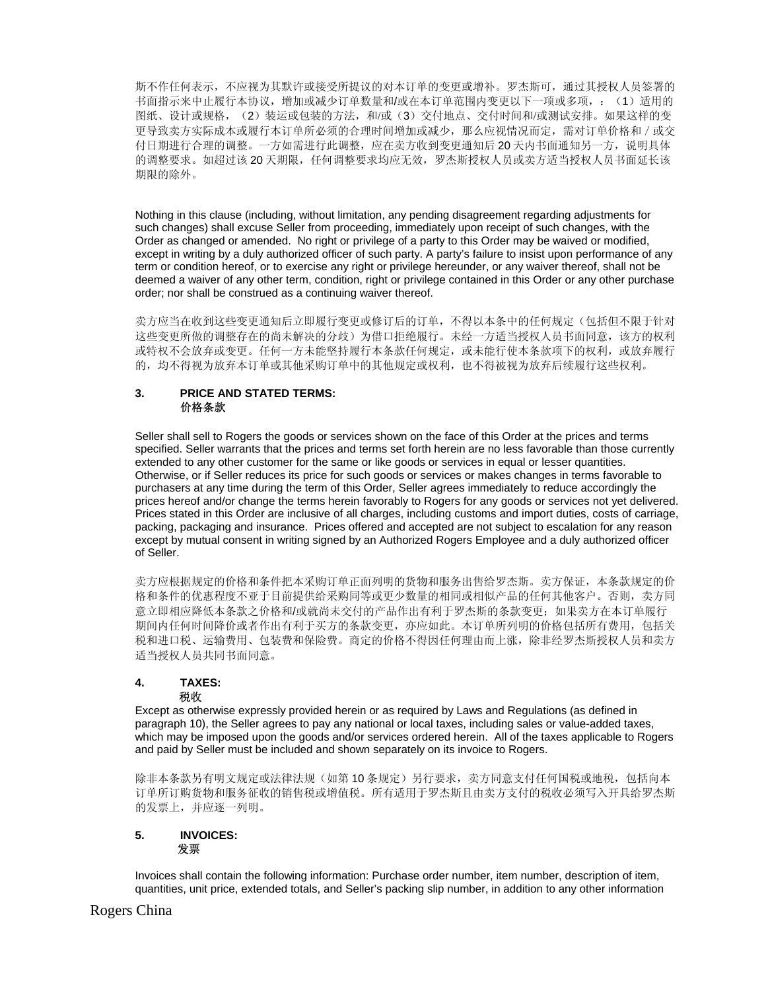斯不作任何表示,不应视为其默许或接受所提议的对本订单的变更或增补。罗杰斯可,通过其授权人员签署的 书面指示来中止履行本协议, 增加或减少订单数量和/或在本订单范围内变更以下一项或多项,: (1)适用的 图纸、设计或规格,(2)装运或包装的方法,和/或(3)交付地点、交付时间和/或测试安排。如果这样的变 更导致卖方实际成本或履行本订单所必须的合理时间增加或减少,那么应视情况而定,需对订单价格和/或交 付日期进行合理的调整。一方如需进行此调整,应在卖方收到变更通知后 20 天内书面通知另一方,说明具体 的调整要求。如超过该 20 天期限,任何调整要求均应无效,罗杰斯授权人员或卖方适当授权人员书面延长该 期限的除外。

Nothing in this clause (including, without limitation, any pending disagreement regarding adjustments for such changes) shall excuse Seller from proceeding, immediately upon receipt of such changes, with the Order as changed or amended. No right or privilege of a party to this Order may be waived or modified, except in writing by a duly authorized officer of such party. A party's failure to insist upon performance of any term or condition hereof, or to exercise any right or privilege hereunder, or any waiver thereof, shall not be deemed a waiver of any other term, condition, right or privilege contained in this Order or any other purchase order; nor shall be construed as a continuing waiver thereof.

卖方应当在收到这些变更通知后立即履行变更或修订后的订单,不得以本条中的任何规定(包括但不限于针对 这些变更所做的调整存在的尚未解决的分歧)为借口拒绝履行。未经一方适当授权人员书面同意,该方的权利 或特权不会放弃或变更。任何一方未能坚持履行本条款任何规定,或未能行使本条款项下的权利,或放弃履行 的,均不得视为放弃本订单或其他采购订单中的其他规定或权利,也不得被视为放弃后续履行这些权利。

## **3. PRICE AND STATED TERMS:**  价格条款

Seller shall sell to Rogers the goods or services shown on the face of this Order at the prices and terms specified. Seller warrants that the prices and terms set forth herein are no less favorable than those currently extended to any other customer for the same or like goods or services in equal or lesser quantities. Otherwise, or if Seller reduces its price for such goods or services or makes changes in terms favorable to purchasers at any time during the term of this Order, Seller agrees immediately to reduce accordingly the prices hereof and/or change the terms herein favorably to Rogers for any goods or services not yet delivered. Prices stated in this Order are inclusive of all charges, including customs and import duties, costs of carriage, packing, packaging and insurance. Prices offered and accepted are not subject to escalation for any reason except by mutual consent in writing signed by an Authorized Rogers Employee and a duly authorized officer of Seller.

卖方应根据规定的价格和条件把本采购订单正面列明的货物和服务出售给罗杰斯。卖方保证,本条款规定的价 格和条件的优惠程度不亚于目前提供给采购同等或更少数量的相同或相似产品的任何其他客户。否则,卖方同 意立即相应降低本条款之价格和/或就尚未交付的产品作出有利于罗杰斯的条款变更;如果卖方在本订单履行 期间内任何时间降价或者作出有利于买方的条款变更,亦应如此。本订单所列明的价格包括所有费用,包括关 税和进口税、运输费用、包装费和保险费。商定的价格不得因任何理由而上涨,除非经罗杰斯授权人员和卖方 适当授权人员共同书面同意。

# **4. TAXES:**

## 税收

Except as otherwise expressly provided herein or as required by Laws and Regulations (as defined in paragraph 10), the Seller agrees to pay any national or local taxes, including sales or value-added taxes, which may be imposed upon the goods and/or services ordered herein. All of the taxes applicable to Rogers and paid by Seller must be included and shown separately on its invoice to Rogers.

除非本条款另有明文规定或法律法规(如第 10 条规定)另行要求,卖方同意支付任何国税或地税,包括向本 订单所订购货物和服务征收的销售税或增值税。所有适用于罗杰斯且由卖方支付的税收必须写入开具给罗杰斯 的发票上,并应逐一列明。

## **5. INVOICES:**  发票

Invoices shall contain the following information: Purchase order number, item number, description of item, quantities, unit price, extended totals, and Seller's packing slip number, in addition to any other information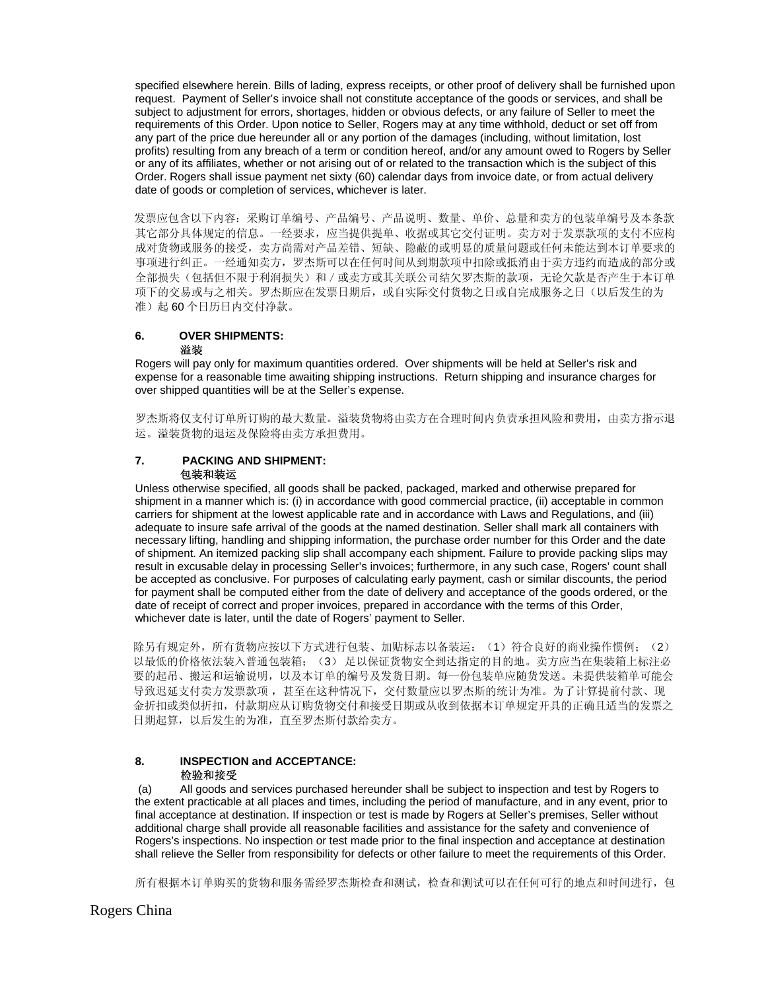specified elsewhere herein. Bills of lading, express receipts, or other proof of delivery shall be furnished upon request. Payment of Seller's invoice shall not constitute acceptance of the goods or services, and shall be subject to adjustment for errors, shortages, hidden or obvious defects, or any failure of Seller to meet the requirements of this Order. Upon notice to Seller, Rogers may at any time withhold, deduct or set off from any part of the price due hereunder all or any portion of the damages (including, without limitation, lost profits) resulting from any breach of a term or condition hereof, and/or any amount owed to Rogers by Seller or any of its affiliates, whether or not arising out of or related to the transaction which is the subject of this Order. Rogers shall issue payment net sixty (60) calendar days from invoice date, or from actual delivery date of goods or completion of services, whichever is later.

 发票应包含以下内容:采购订单编号、产品编号、产品说明、数量、单价、总量和卖方的包装单编号及本条款 其它部分具体规定的信息。一经要求,应当提供提单、收据或其它交付证明。卖方对于发票款项的支付不应构 成对货物或服务的接受,卖方尚需对产品差错、短缺、隐蔽的或明显的质量问题或任何未能达到本订单要求的 事项进行纠正。一经通知卖方,罗杰斯可以在任何时间从到期款项中扣除或抵消由于卖方违约而造成的部分或 全部损失(包括但不限于利润损失)和/或卖方或其关联公司结欠罗杰斯的款项,无论欠款是否产生于本订单 项下的交易或与之相关。罗杰斯应在发票日期后,或自实际交付货物之日或自完成服务之日(以后发生的为 准)起 60 个日历日内交付净款。

#### **6. OVER SHIPMENTS:**  溢装

Rogers will pay only for maximum quantities ordered. Over shipments will be held at Seller's risk and expense for a reasonable time awaiting shipping instructions. Return shipping and insurance charges for over shipped quantities will be at the Seller's expense.

罗杰斯将仅支付订单所订购的最大数量。溢装货物将由卖方在合理时间内负责承担风险和费用,由卖方指示退 运。溢装货物的退运及保险将由卖方承担费用。

## **7. PACKING AND SHIPMENT:**  包装和装运

Unless otherwise specified, all goods shall be packed, packaged, marked and otherwise prepared for shipment in a manner which is: (i) in accordance with good commercial practice, (ii) acceptable in common carriers for shipment at the lowest applicable rate and in accordance with Laws and Regulations, and (iii) adequate to insure safe arrival of the goods at the named destination. Seller shall mark all containers with necessary lifting, handling and shipping information, the purchase order number for this Order and the date of shipment. An itemized packing slip shall accompany each shipment. Failure to provide packing slips may result in excusable delay in processing Seller's invoices; furthermore, in any such case, Rogers' count shall be accepted as conclusive. For purposes of calculating early payment, cash or similar discounts, the period for payment shall be computed either from the date of delivery and acceptance of the goods ordered, or the date of receipt of correct and proper invoices, prepared in accordance with the terms of this Order, whichever date is later, until the date of Rogers' payment to Seller.

除另有规定外,所有货物应按以下方式进行包装、加贴标志以备装运: (1)符合良好的商业操作惯例; (2) 以最低的价格依法装入普通包装箱;(3) 足以保证货物安全到达指定的目的地。卖方应当在集装箱上标注必 要的起吊、搬运和运输说明,以及本订单的编号及发货日期。每一份包装单应随货发送。未提供装箱单可能会 导致迟延支付卖方发票款项 ,甚至在这种情况下,交付数量应以罗杰斯的统计为准。为了计算提前付款、现 金折扣或类似折扣,付款期应从订购货物交付和接受日期或从收到依据本订单规定开具的正确且适当的发票之 日期起算,以后发生的为准,直至罗杰斯付款给卖方。

## **8. INSPECTION and ACCEPTANCE:**  检验和接受

 (a) All goods and services purchased hereunder shall be subject to inspection and test by Rogers to the extent practicable at all places and times, including the period of manufacture, and in any event, prior to final acceptance at destination. If inspection or test is made by Rogers at Seller's premises, Seller without additional charge shall provide all reasonable facilities and assistance for the safety and convenience of Rogers's inspections. No inspection or test made prior to the final inspection and acceptance at destination shall relieve the Seller from responsibility for defects or other failure to meet the requirements of this Order.

所有根据本订单购买的货物和服务需经罗杰斯检查和测试,检查和测试可以在任何可行的地点和时间进行,包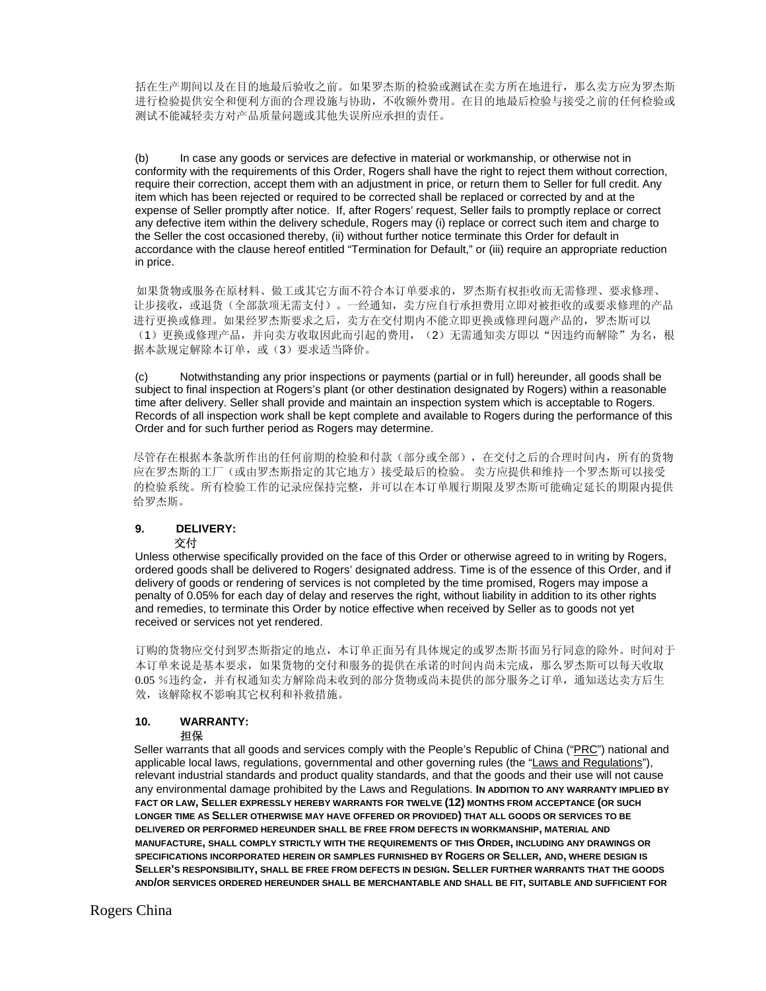括在生产期间以及在目的地最后验收之前。如果罗杰斯的检验或测试在卖方所在地进行,那么卖方应为罗杰斯 进行检验提供安全和便利方面的合理设施与协助,不收额外费用。在目的地最后检验与接受之前的任何检验或 测试不能减轻卖方对产品质量问题或其他失误所应承担的责任。

 (b) In case any goods or services are defective in material or workmanship, or otherwise not in conformity with the requirements of this Order, Rogers shall have the right to reject them without correction, require their correction, accept them with an adjustment in price, or return them to Seller for full credit. Any item which has been rejected or required to be corrected shall be replaced or corrected by and at the expense of Seller promptly after notice. If, after Rogers' request, Seller fails to promptly replace or correct any defective item within the delivery schedule, Rogers may (i) replace or correct such item and charge to the Seller the cost occasioned thereby, (ii) without further notice terminate this Order for default in accordance with the clause hereof entitled "Termination for Default," or (iii) require an appropriate reduction in price.

如果货物或服务在原材料、做工或其它方面不符合本订单要求的,罗杰斯有权拒收而无需修理、要求修理、 让步接收,或退货(全部款项无需支付)。一经通知,卖方应自行承担费用立即对被拒收的或要求修理的产品 进行更换或修理。如果经罗杰斯要求之后,卖方在交付期内不能立即更换或修理问题产品的,罗杰斯可以 (1)更换或修理产品,并向卖方收取因此而引起的费用,(2)无需通知卖方即以"因违约而解除"为名,根 据本款规定解除本订单,或(3)要求适当降价。

 (c) Notwithstanding any prior inspections or payments (partial or in full) hereunder, all goods shall be subject to final inspection at Rogers's plant (or other destination designated by Rogers) within a reasonable time after delivery. Seller shall provide and maintain an inspection system which is acceptable to Rogers. Records of all inspection work shall be kept complete and available to Rogers during the performance of this Order and for such further period as Rogers may determine.

尽管存在根据本条款所作出的任何前期的检验和付款(部分或全部),在交付之后的合理时间内,所有的货物 应在罗杰斯的工厂(或由罗杰斯指定的其它地方)接受最后的检验。 卖方应提供和维持一个罗杰斯可以接受 的检验系统。所有检验工作的记录应保持完整,并可以在本订单履行期限及罗杰斯可能确定延长的期限内提供 给罗杰斯。

#### **9. DELIVERY:**  交付

Unless otherwise specifically provided on the face of this Order or otherwise agreed to in writing by Rogers, ordered goods shall be delivered to Rogers' designated address. Time is of the essence of this Order, and if delivery of goods or rendering of services is not completed by the time promised, Rogers may impose a penalty of 0.05% for each day of delay and reserves the right, without liability in addition to its other rights and remedies, to terminate this Order by notice effective when received by Seller as to goods not yet received or services not yet rendered.

订购的货物应交付到罗杰斯指定的地点,本订单正面另有具体规定的或罗杰斯书面另行同意的除外。时间对于 本订单来说是基本要求,如果货物的交付和服务的提供在承诺的时间内尚未完成,那么罗杰斯可以每天收取 0.05 %违约金,并有权通知卖方解除尚未收到的部分货物或尚未提供的部分服务之订单,通知送达卖方后生 效,该解除权不影响其它权利和补救措施。

#### **10. WARRANTY:**  担保

 Seller warrants that all goods and services comply with the People's Republic of China ("PRC") national and applicable local laws, regulations, governmental and other governing rules (the "Laws and Regulations"), relevant industrial standards and product quality standards, and that the goods and their use will not cause any environmental damage prohibited by the Laws and Regulations. **IN ADDITION TO ANY WARRANTY IMPLIED BY FACT OR LAW, SELLER EXPRESSLY HEREBY WARRANTS FOR TWELVE (12) MONTHS FROM ACCEPTANCE (OR SUCH LONGER TIME AS SELLER OTHERWISE MAY HAVE OFFERED OR PROVIDED) THAT ALL GOODS OR SERVICES TO BE DELIVERED OR PERFORMED HEREUNDER SHALL BE FREE FROM DEFECTS IN WORKMANSHIP, MATERIAL AND MANUFACTURE, SHALL COMPLY STRICTLY WITH THE REQUIREMENTS OF THIS ORDER, INCLUDING ANY DRAWINGS OR SPECIFICATIONS INCORPORATED HEREIN OR SAMPLES FURNISHED BY ROGERS OR SELLER, AND, WHERE DESIGN IS SELLER'S RESPONSIBILITY, SHALL BE FREE FROM DEFECTS IN DESIGN. SELLER FURTHER WARRANTS THAT THE GOODS AND/OR SERVICES ORDERED HEREUNDER SHALL BE MERCHANTABLE AND SHALL BE FIT, SUITABLE AND SUFFICIENT FOR**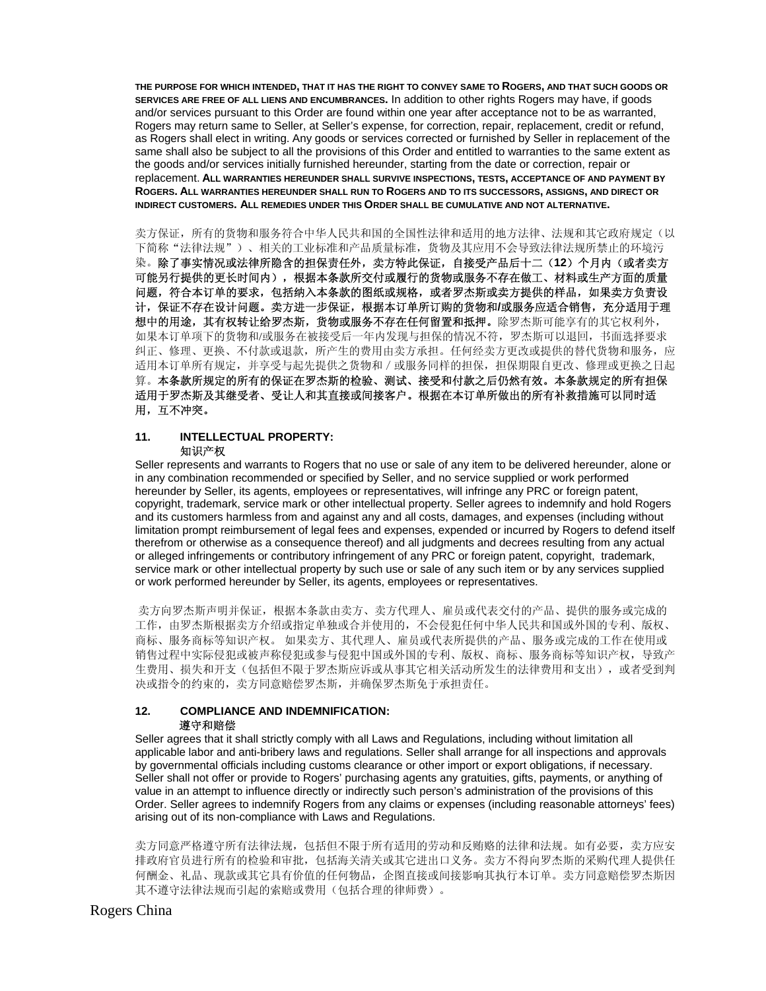**THE PURPOSE FOR WHICH INTENDED, THAT IT HAS THE RIGHT TO CONVEY SAME TO ROGERS, AND THAT SUCH GOODS OR SERVICES ARE FREE OF ALL LIENS AND ENCUMBRANCES.** In addition to other rights Rogers may have, if goods and/or services pursuant to this Order are found within one year after acceptance not to be as warranted, Rogers may return same to Seller, at Seller's expense, for correction, repair, replacement, credit or refund, as Rogers shall elect in writing. Any goods or services corrected or furnished by Seller in replacement of the same shall also be subject to all the provisions of this Order and entitled to warranties to the same extent as the goods and/or services initially furnished hereunder, starting from the date or correction, repair or replacement. **ALL WARRANTIES HEREUNDER SHALL SURVIVE INSPECTIONS, TESTS, ACCEPTANCE OF AND PAYMENT BY ROGERS. ALL WARRANTIES HEREUNDER SHALL RUN TO ROGERS AND TO ITS SUCCESSORS, ASSIGNS, AND DIRECT OR INDIRECT CUSTOMERS. ALL REMEDIES UNDER THIS ORDER SHALL BE CUMULATIVE AND NOT ALTERNATIVE.**

卖方保证,所有的货物和服务符合中华人民共和国的全国性法律和适用的地方法律、法规和其它政府规定(以 下简称"法律法规")、相关的工业标准和产品质量标准,货物及其应用不会导致法律法规所禁止的环境污 染。除了事实情况或法律所隐含的担保责任外,卖方特此保证,自接受产品后十二(**12**)个月内(或者卖方 可能另行提供的更长时间内),根据本条款所交付或履行的货物或服务不存在做工、材料或生产方面的质量 问题,符合本订单的要求,包括纳入本条款的图纸或规格,或者罗杰斯或卖方提供的样品,如果卖方负责设 计,保证不存在设计问题。卖方进一步保证,根据本订单所订购的货物和**/**或服务应适合销售,充分适用于理 想中的用途,其有权转让给罗杰斯,货物或服务不存在任何留置和抵押。除罗杰斯可能享有的其它权利外, 如果本订单项下的货物和/或服务在被接受后一年内发现与担保的情况不符,罗杰斯可以退回,书面选择要求 纠正、修理、更换、不付款或退款,所产生的费用由卖方承担。任何经卖方更改或提供的替代货物和服务,应 适用本订单所有规定,并享受与起先提供之货物和/或服务同样的担保,担保期限自更改、修理或更换之日起 算。本条款所规定的所有的保证在罗杰斯的检验、测试、接受和付款之后仍然有效。本条款规定的所有担保 适用于罗杰斯及其继受者、受让人和其直接或间接客户。根据在本订单所做出的所有补救措施可以同时适 用,互不冲突。

#### **11. INTELLECTUAL PROPERTY:**  知识产权

Seller represents and warrants to Rogers that no use or sale of any item to be delivered hereunder, alone or in any combination recommended or specified by Seller, and no service supplied or work performed hereunder by Seller, its agents, employees or representatives, will infringe any PRC or foreign patent, copyright, trademark, service mark or other intellectual property. Seller agrees to indemnify and hold Rogers and its customers harmless from and against any and all costs, damages, and expenses (including without limitation prompt reimbursement of legal fees and expenses, expended or incurred by Rogers to defend itself therefrom or otherwise as a consequence thereof) and all judgments and decrees resulting from any actual or alleged infringements or contributory infringement of any PRC or foreign patent, copyright, trademark, service mark or other intellectual property by such use or sale of any such item or by any services supplied or work performed hereunder by Seller, its agents, employees or representatives.

卖方向罗杰斯声明并保证,根据本条款由卖方、卖方代理人、雇员或代表交付的产品、提供的服务或完成的 工作,由罗杰斯根据卖方介绍或指定单独或合并使用的,不会侵犯任何中华人民共和国或外国的专利、版权、 商标、服务商标等知识产权。 如果卖方、其代理人、雇员或代表所提供的产品、服务或完成的工作在使用或 销售过程中实际侵犯或被声称侵犯或参与侵犯中国或外国的专利、版权、商标、服务商标等知识产权,导致产 生费用、损失和开支(包括但不限于罗杰斯应诉或从事其它相关活动所发生的法律费用和支出),或者受到判 决或指令的约束的,卖方同意赔偿罗杰斯,并确保罗杰斯免于承担责任。

#### **12. COMPLIANCE AND INDEMNIFICATION:** 遵守和赔偿

Seller agrees that it shall strictly comply with all Laws and Regulations, including without limitation all applicable labor and anti-bribery laws and regulations. Seller shall arrange for all inspections and approvals by governmental officials including customs clearance or other import or export obligations, if necessary. Seller shall not offer or provide to Rogers' purchasing agents any gratuities, gifts, payments, or anything of value in an attempt to influence directly or indirectly such person's administration of the provisions of this Order. Seller agrees to indemnify Rogers from any claims or expenses (including reasonable attorneys' fees) arising out of its non-compliance with Laws and Regulations.

卖方同意严格遵守所有法律法规,包括但不限于所有适用的劳动和反贿赂的法律和法规。如有必要,卖方应安 排政府官员进行所有的检验和审批,包括海关清关或其它进出口义务。卖方不得向罗杰斯的采购代理人提供任 何酬金、礼品、现款或其它具有价值的任何物品,企图直接或间接影响其执行本订单。卖方同意赔偿罗杰斯因 其不遵守法律法规而引起的索赔或费用(包括合理的律师费)。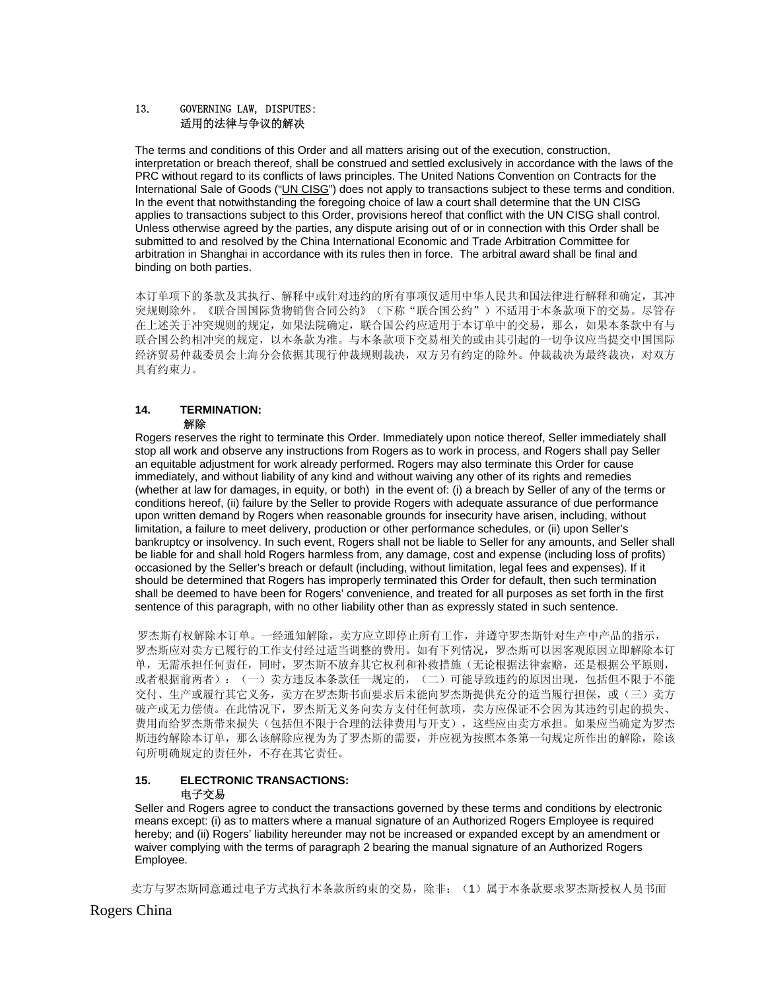## 13. GOVERNING LAW, DISPUTES: 适用的法律与争议的解决

The terms and conditions of this Order and all matters arising out of the execution, construction, interpretation or breach thereof, shall be construed and settled exclusively in accordance with the laws of the PRC without regard to its conflicts of laws principles. The United Nations Convention on Contracts for the International Sale of Goods ("UN CISG") does not apply to transactions subject to these terms and condition. In the event that notwithstanding the foregoing choice of law a court shall determine that the UN CISG applies to transactions subject to this Order, provisions hereof that conflict with the UN CISG shall control. Unless otherwise agreed by the parties, any dispute arising out of or in connection with this Order shall be submitted to and resolved by the China International Economic and Trade Arbitration Committee for arbitration in Shanghai in accordance with its rules then in force. The arbitral award shall be final and binding on both parties.

本订单项下的条款及其执行、解释中或针对违约的所有事项仅适用中华人民共和国法律进行解释和确定,其冲 突规则除外。《联合国国际货物销售合同公约》(下称"联合国公约")不适用于本条款项下的交易。尽管存 在上述关于冲突规则的规定,如果法院确定,联合国公约应适用于本订单中的交易,那么,如果本条款中有与 联合国公约相冲突的规定,以本条款为准。与本条款项下交易相关的或由其引起的一切争议应当提交中国国际 经济贸易仲裁委员会上海分会依据其现行仲裁规则裁决, 双方另有约定的除外。仲裁裁决为最终裁决, 对双方 具有约束力。

#### **14. TERMINATION:**  解除

#### Rogers reserves the right to terminate this Order. Immediately upon notice thereof, Seller immediately shall stop all work and observe any instructions from Rogers as to work in process, and Rogers shall pay Seller an equitable adjustment for work already performed. Rogers may also terminate this Order for cause immediately, and without liability of any kind and without waiving any other of its rights and remedies (whether at law for damages, in equity, or both) in the event of: (i) a breach by Seller of any of the terms or conditions hereof, (ii) failure by the Seller to provide Rogers with adequate assurance of due performance upon written demand by Rogers when reasonable grounds for insecurity have arisen, including, without limitation, a failure to meet delivery, production or other performance schedules, or (ii) upon Seller's bankruptcy or insolvency. In such event, Rogers shall not be liable to Seller for any amounts, and Seller shall be liable for and shall hold Rogers harmless from, any damage, cost and expense (including loss of profits) occasioned by the Seller's breach or default (including, without limitation, legal fees and expenses). If it should be determined that Rogers has improperly terminated this Order for default, then such termination shall be deemed to have been for Rogers' convenience, and treated for all purposes as set forth in the first sentence of this paragraph, with no other liability other than as expressly stated in such sentence.

 罗杰斯有权解除本订单。一经通知解除,卖方应立即停止所有工作,并遵守罗杰斯针对生产中产品的指示, 罗杰斯应对卖方已履行的工作支付经过适当调整的费用。如有下列情况,罗杰斯可以因客观原因立即解除本订 单,无需承担任何责任,同时,罗杰斯不放弃其它权利和补救措施(无论根据法律索赔,还是根据公平原则, 或者根据前两者):(一)卖方违反本条款任一规定的,(二)可能导致违约的原因出现,包括但不限于不能 交付、生产或履行其它义务,卖方在罗杰斯书面要求后未能向罗杰斯提供充分的适当履行担保,或(三)卖方 破产或无力偿债。在此情况下,罗杰斯无义务向卖方支付任何款项,卖方应保证不会因为其违约引起的损失、 费用而给罗杰斯带来损失(包括但不限于合理的法律费用与开支),这些应由卖方承担。如果应当确定为罗杰 斯违约解除本订单,那么该解除应视为为了罗杰斯的需要,并应视为按照本条第一句规定所作出的解除,除该 句所明确规定的责任外,不存在其它责任。

## **15. ELECTRONIC TRANSACTIONS:**  电子交易

Seller and Rogers agree to conduct the transactions governed by these terms and conditions by electronic means except: (i) as to matters where a manual signature of an Authorized Rogers Employee is required hereby; and (ii) Rogers' liability hereunder may not be increased or expanded except by an amendment or waiver complying with the terms of paragraph 2 bearing the manual signature of an Authorized Rogers Employee.

卖方与罗杰斯同意通过电子方式执行本条款所约束的交易,除非:(1)属于本条款要求罗杰斯授权人员书面